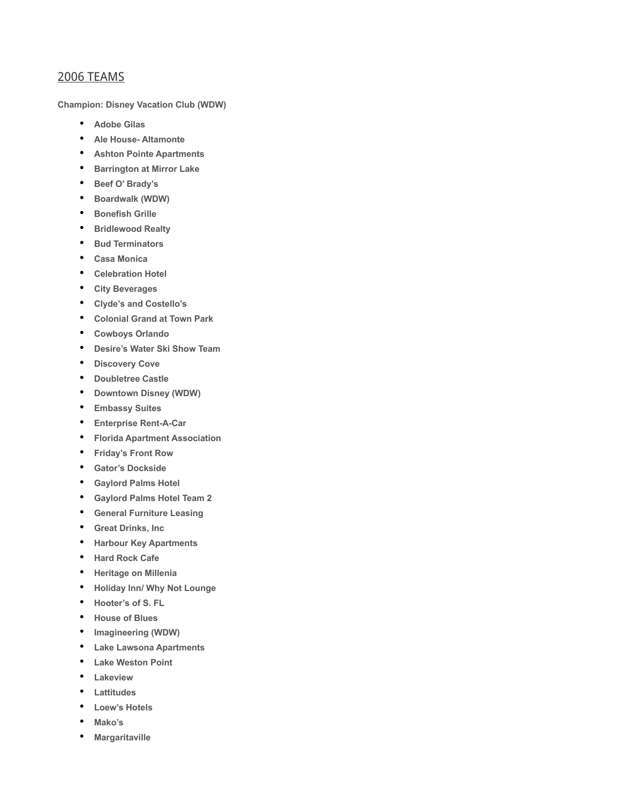## 2006 TEAMS

**Champion: Disney Vacation Club (WDW)**

- **Adobe Gilas**
- **Ale House- Altamonte**
- **Ashton Pointe Apartments**
- **Barrington at Mirror Lake**
- **Beef O' Brady's**
- **Boardwalk (WDW)**
- **Bonefish Grille**
- **Bridlewood Realty**
- **Bud Terminators**
- **Casa Monica**
- **Celebration Hotel**
- **City Beverages**
- **Clyde's and Costello's**
- **Colonial Grand at Town Park**
- **Cowboys Orlando**
- **Desire's Water Ski Show Team**
- **Discovery Cove**
- **Doubletree Castle**
- **Downtown Disney (WDW)**
- **Embassy Suites**
- **Enterprise Rent-A-Car**
- **Florida Apartment Association**
- **Friday's Front Row**
- **Gator's Dockside**
- **Gaylord Palms Hotel**
- **Gaylord Palms Hotel Team 2**
- **General Furniture Leasing**
- **Great Drinks, Inc**
- **Harbour Key Apartments**
- **Hard Rock Cafe**
- **Heritage on Millenia**
- **Holiday Inn/ Why Not Lounge**
- **Hooter's of S. FL**
- **House of Blues**
- **Imagineering (WDW)**
- **Lake Lawsona Apartments**
- **Lake Weston Point**
- **Lakeview**
- **Lattitudes**
- **Loew's Hotels**
- **Mako's**
- **Margaritaville**